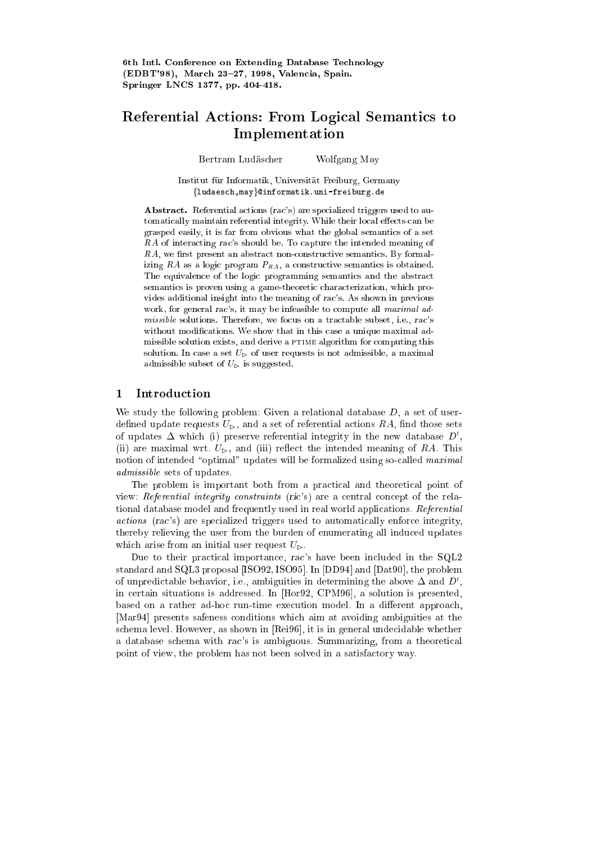# Referential Actions: From Logical Semantics to Implementation

Bertram Ludascher Wolfgang May

Institut fur Informatik, Universitat Freiburg, Germany fludaesch,mayg@informatik.uni-freiburg.de

Abstract. Referential actions (rac's) are specialized triggers used to automatically maintain referential integrity. While their local effects can be grasped easily, it is far from obvious what the global semantics of a set RA of interacting rac's should be. To capture the intended meaning of  $RA$ , we first present an abstract non-constructive semantics. By formalizing RA as a logic program  $P_{RA}$ , a constructive semantics is obtained. The equivalence of the logic programming semantics and the abstract semantics is proven using a game-theoretic characterization, which provides additional insight into the meaning of rac's. As shown in previous work, for general rac's, it may be infeasible to compute all maximal admissible solutions. Therefore, we focus on a tractable subset, i.e., rac's without modications. We show that in this case a unique maximal admissible solution exists, and derive a PTIME algorithm for computing this solution. In case a set  $U_{\triangleright}$  of user requests is not admissible, a maximal admissible subset of  $U_{\triangleright}$  is suggested.

#### $\mathbf{1}$ Introduction

We study the following problem: Given a relational database  $D$ , a set of userdefined update requests  $U_{\triangleright}$ , and a set of referential actions RA, find those sets of updates  $\Delta$  which (i) preserve referential integrity in the new database  $D'$ , (ii) are maximal wrt.  $U_{\triangleright}$ , and (iii) reflect the intended meaning of RA. This notion of intended "optimal" updates will be formalized using so-called  $\textit{maximal}$ admissible sets of updates.

The problem is important both from a practical and theoretical point of view: Referential integrity constraints (ric's) are a central concept of the relational database model and frequently used in real world applications. Referential actions (rac's) are specialized triggers used to automatically enforce integrity, thereby relieving the user from the burden of enumerating all induced updates which arise from an initial user request  $U_{\triangleright}$ .

Due to their practical importance, rac's have been included in the SQL2 standard and SQL3 proposal [ISO92, ISO95]. In [DD94] and [Dat90], the problem of unpredictable behavior, i.e., ambiguities in determining the above  $\Delta$  and  $D'$ , in certain situations is addressed. In [Hor92, CPM96], a solution is presented, based on a rather ad-hoc run-time execution model. In a different approach, [Mar94] presents safeness conditions which aim at avoiding ambiguities at the schema level. However, as shown in [Rei96], it is in general undecidable whether a database schema with rac's is ambiguous. Summarizing, from a theoretical point of view, the problem has not been solved in a satisfactory way.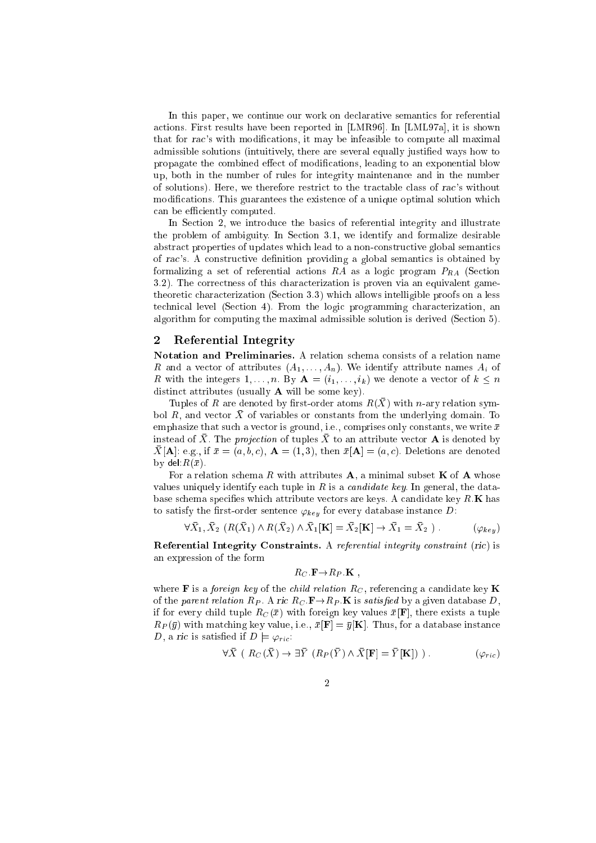In this paper, we continue our work on declarative semantics for referential actions. First results have been reported in [LMR96]. In [LML97a], it is shown that for rac's with modications, it may be infeasible to compute all maximal admissible solutions (intuitively, there are several equally justied ways how to propagate the combined effect of modifications, leading to an exponential blow up, both in the number of rules for integrity maintenance and in the number of solutions). Here, we therefore restrict to the tractable class of rac's without modifications. This guarantees the existence of a unique optimal solution which can be efficiently computed.

In Section 2, we introduce the basics of referential integrity and illustrate the problem of ambiguity. In Section 3.1, we identify and formalize desirable abstract properties of updates which lead to a non-constructive global semantics of rac's. A constructive definition providing a global semantics is obtained by formalizing a set of referential actions RA as a logic program  $P_{RA}$  (Section 3.2). The correctness of this characterization is proven via an equivalent gametheoretic characterization (Section 3.3) which allows intelligible proofs on a less technical level (Section 4). From the logic programming characterization, an algorithm for computing the maximal admissible solution is derived (Section 5).

### 2 Referential Integrity

Notation and Preliminaries. A relation schema consists of a relation name R and a vector of attributes  $(A_1, \ldots, A_n)$ . We identify attribute names  $A_i$  of R with the integers  $1, \ldots, n$ . By  $\mathbf{A} = (i_1, \ldots, i_k)$  we denote a vector of  $k \leq n$ distinct attributes (usually  $A$  will be some key).

Tuples of R are denoted by first-order atoms  $R(\bar{X})$  with n-ary relation symbol  $R$ , and vector  $X$  of variables or constants from the underlying domain. To emphasize that such a vector is ground, i.e., comprises only constants, we write  $\bar{x}$ instead of  $\overline{X}$ . The projection of tuples  $\overline{X}$  to an attribute vector **A** is denoted by  $\bar{X}[\mathbf{A}]$ : e.g., if  $\bar{x} = (a, b, c), \mathbf{A} = (1, 3),$  then  $\bar{x}[\mathbf{A}] = (a, c)$ . Deletions are denoted by del: $R(\bar{x})$ .

For a relation schema R with attributes  $A$ , a minimal subset K of A whose values uniquely identify each tuple in  $R$  is a *candidate key*. In general, the database schema specifies which attribute vectors are keys. A candidate key  $R.K$  has to satisfy the first-order sentence  $\varphi_{key}$  for every database instance D:

$$
\forall X_1, X_2 \ (R(X_1) \land R(X_2) \land X_1[\mathbf{K}] = X_2[\mathbf{K}] \to X_1 = X_2 \ ) \tag{ \varphi_{key} }
$$

Referential Integrity Constraints. A referential integrity constraint (ric) is an expression of the form

$$
R_C \ \mathbf{F} \rightarrow R_P \ \mathbf{K} \ ,
$$

where **F** is a *foreign key* of the *child relation*  $R_C$ , referencing a candidate key **K** of the parent relation  $R_P$ . A ric  $R_C$ :  $\mathbf{F} \rightarrow R_P$ . K is satisfied by a given database D, if for every child tuple  $R_C(\bar{x})$  with foreign key values  $\bar{x}[\mathbf{F}]$ , there exists a tuple  $R_P(\bar{y})$  with matching key value, i.e.,  $\bar{x}[\mathbf{F}] = \bar{y}[\mathbf{K}]$ . Thus, for a database instance D, a ric is satisfied if  $D \models \varphi_{ric}$ :

$$
\forall \bar{X} \ (R_C(\bar{X}) \to \exists \bar{Y} \ (R_P(\bar{Y}) \land \bar{X}[\mathbf{F}] = \bar{Y}[\mathbf{K}]) \ ). \tag{6.7}
$$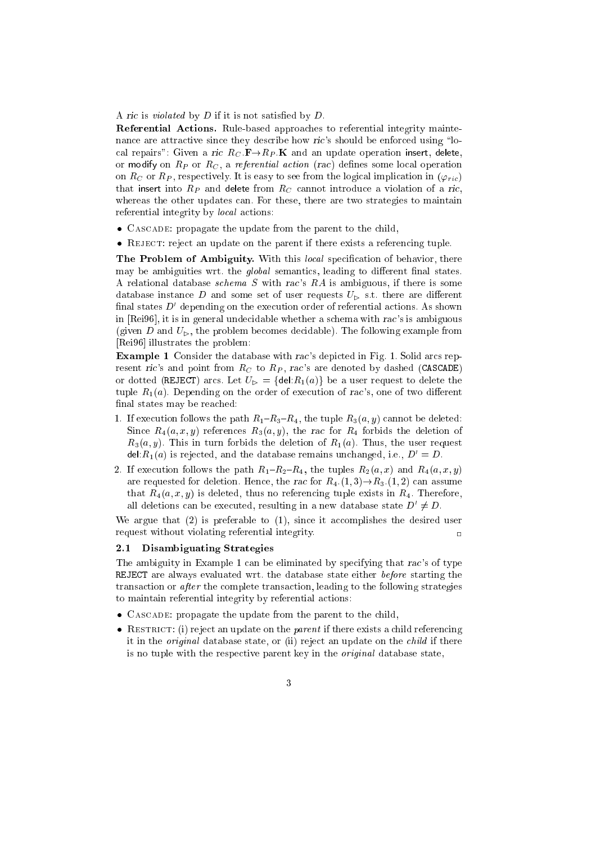A ric is *violated* by  $D$  if it is not satisfied by  $D$ .

Referential Actions. Rule-based approaches to referential integrity maintenance are attractive since they describe how ric's should be enforced using "local repairs": Given a ric  $R_C \cdot \mathbf{F} \rightarrow R_P \cdot \mathbf{K}$  and an update operation insert, delete, or modify on  $R_P$  or  $R_C$ , a referential action (rac) defines some local operation on  $R_C$  or  $R_P$ , respectively. It is easy to see from the logical implication in  $(\varphi_{ric})$ that insert into  $R_P$  and delete from  $R_C$  cannot introduce a violation of a ric, whereas the other updates can. For these, there are two strategies to maintain referential integrity by local actions:

- CASCADE: propagate the update from the parent to the child,
- REJECT: reject an update on the parent if there exists a referencing tuple.

The Problem of Ambiguity. With this *local* specification of behavior, there may be ambiguities wrt. the *global* semantics, leading to different final states. A relational database schema S with rac's RA is ambiguous, if there is some database instance D and some set of user requests  $U_{\rm p}$  s.t. there are different final states  $D'$  depending on the execution order of referential actions. As shown in [Rei96], it is in general undecidable whether a schema with rac's is ambiguous (given D and  $U_{\rm b}$ , the problem becomes decidable). The following example from [Rei96] illustrates the problem:

Example 1 Consider the database with rac's depicted in Fig. 1. Solid arcs represent ric's and point from  $R_C$  to  $R_P$ , rac's are denoted by dashed (CASCADE) or dotted (REJECT) arcs. Let  $U_{\triangleright} = {\text{del}:R_1(a)}$  be a user request to delete the tuple  $R_1(a)$ . Depending on the order of execution of rac's, one of two different final states may be reached:

- 1. If execution follows the path  $R_1-R_3-R_4$ , the tuple  $R_3(a, y)$  cannot be deleted: Since  $R_4(a, x, y)$  references  $R_3(a, y)$ , the rac for  $R_4$  forbids the deletion of  $R_3(a, y)$ . This in turn forbids the deletion of  $R_1(a)$ . Thus, the user request del: $R_1(a)$  is rejected, and the database remains unchanged, i.e.,  $D' = D$ .
- 2. If execution follows the path  $R_1{-}R_2{-}R_4$ , the tuples  $R_2(a, x)$  and  $R_4(a, x, y)$ are requested for deletion. Hence, the rac for  $R_4$ .(1,3)  $\rightarrow R_3$ .(1,2) can assume that  $R_4(a, x, y)$  is deleted, thus no referencing tuple exists in  $R_4$ . Therefore, all deletions can be executed, resulting in a new database state  $D' \neq D$ .

We argue that (2) is preferable to (1), since it accomplishes the desired user request without violating referential integrity.  $\overline{a}$ 

### 2.1 Disambiguating Strategies

The ambiguity in Example 1 can be eliminated by specifying that rac's of type REJECT are always evaluated wrt. the database state either before starting the transaction or after the complete transaction, leading to the following strategies to maintain referential integrity by referential actions:

- CASCADE: propagate the update from the parent to the child,
- RESTRICT: (i) reject an update on the *parent* if there exists a child referencing it in the original database state, or (ii) reject an update on the child if there is no tuple with the respective parent key in the original database state,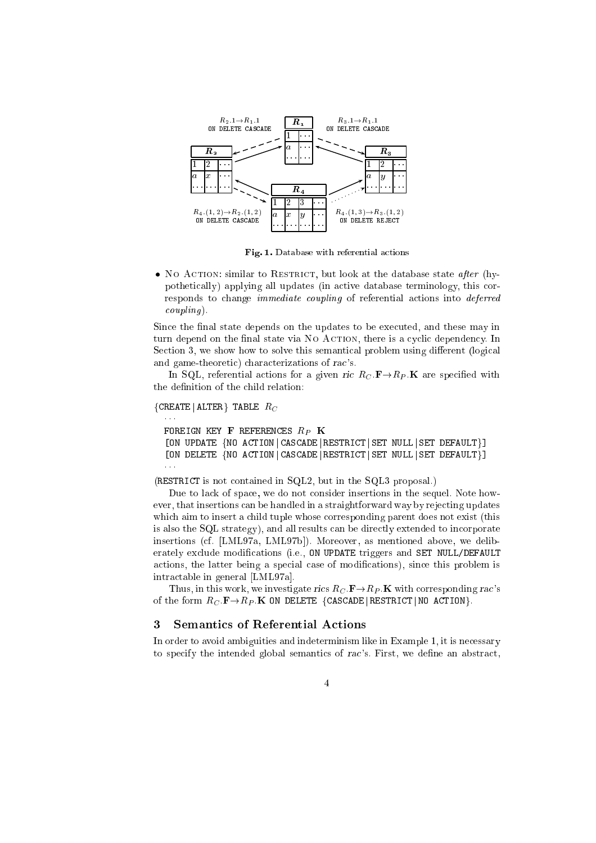

Fig. 1. Database with referential actions

• No Action: similar to RESTRICT, but look at the database state after (hypothetically) applying all updates (in active database terminology, this corresponds to change immediate coupling of referential actions into deferred  $coupling$ ).

Since the final state depends on the updates to be executed, and these may in turn depend on the final state via No AcTION, there is a cyclic dependency. In Section 3, we show how to solve this semantical problem using different (logical and game-theoretic) characterizations of rac's.

In SQL, referential actions for a given ric  $R_C \cdot \mathbf{F} \rightarrow R_P \cdot \mathbf{K}$  are specified with the definition of the child relation:

```
{C}REATE | ALTER} TABLE R_C
```

```
FOREIGN KEY \mathbf F REFERENCES R_P K
[ON UPDATE {NO ACTION | CASCADE | RESTRICT | SET NULL | SET DEFAULT}]
[ON DELETE {NO ACTION CASCADE RESTRICT SET NULL SET DEFAULT}]
\mathbf{A}
```
(RESTRICT is not contained in SQL2, but in the SQL3 proposal.)

Due to lack of space, we do not consider insertions in the sequel. Note however, that insertions can be handled in a straightforward way by rejecting updates which aim to insert a child tuple whose corresponding parent does not exist (this is also the SQL strategy), and all results can be directly extended to incorporate insertions (cf. [LML97a, LML97b]). Moreover, as mentioned above, we deliberately exclude modications (i.e., ON UPDATE triggers and SET NULL/DEFAULT actions, the latter being a special case of modications), since this problem is intractable in general [LML97a].

Thus, in this work, we investigate rics  $R_C \cdot \mathbf{F} \rightarrow R_P \cdot \mathbf{K}$  with corresponding rac's of the form  $R_C.\mathbf{F} \rightarrow R_P.\mathbf{K}$  ON DELETE {CASCADE|RESTRICT|NO ACTION}.

#### 3 Semantics of Referential Actions 3

In order to avoid ambiguities and indeterminism like in Example 1, it is necessary to specify the intended global semantics of  $rac$ 's. First, we define an abstract,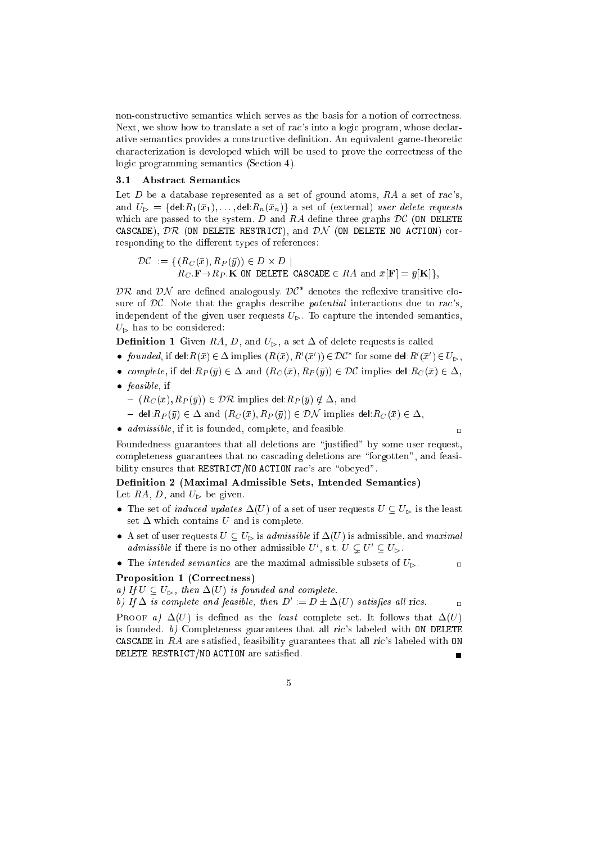non-constructive semantics which serves as the basis for a notion of correctness. Next, we show how to translate a set of rac's into a logic program, whose declarative semantics provides a constructive definition. An equivalent game-theoretic characterization is developed which will be used to prove the correctness of the logic programming semantics (Section 4).

# 3.1 Abstract Semantics

Let  $D$  be a database represented as a set of ground atoms,  $RA$  a set of rac's, and  $U_{\triangleright} = \{ \text{del}: R_1(\bar{x}_1), \ldots, \text{del}: R_n(\bar{x}_n) \}$  a set of (external) user delete requests which are passed to the system. D and RA define three graphs  $DC$  (ON DELETE CASCADE),  $\mathcal{DR}$  (ON DELETE RESTRICT), and  $\mathcal{DN}$  (ON DELETE NO ACTION) corresponding to the different types of references:

$$
\mathcal{DC} := \{ (R_C(\bar{x}), R_P(\bar{y})) \in D \times D \mid
$$
  
 
$$
R_C \cdot \mathbf{F} \to R_P \cdot \mathbf{K} \text{ on DELETE CASCADE} \in RA \text{ and } \bar{x}[\mathbf{F}] = \bar{y}[\mathbf{K}]\},
$$

 $\nu\kappa$  and  $\nu\kappa$  are defined analogously.  $\nu\epsilon$  denotes the reflexive transitive closure of  $DC$ . Note that the graphs describe *potential* interactions due to rac's, independent of the given user requests  $U_{\triangleright}$ . To capture the intended semantics,  $U_{\triangleright}$  has to be considered:

**Definition 1** Given RA, D, and  $U_{\triangleright}$ , a set  $\Delta$  of delete requests is called

- founded, if del: $R(\bar{x}) \in \Delta$  implies  $(R(\bar{x}), R'(\bar{x}')) \in \mathcal{DC}^*$  for some del: $R'(\bar{x}') \in U_{\triangleright}$ ,
- complete, if del: $R_P(\bar{y}) \in \Delta$  and  $(R_C(\bar{x}), R_P(\bar{y})) \in \mathcal{DC}$  implies del: $R_C(\bar{x}) \in \Delta$ ,
- feasible, if
	- $= (R_C(\bar{x}), R_P(\bar{y})) \in \mathcal{DR}$  implies del: $R_P(\bar{y}) \notin \Delta$ , and
	- ${\cal A}$  del:  $R_P(\bar{y}) \in \Delta$  and  $(R_C(\bar{x}), R_P(\bar{y})) \in \mathcal{DN}$  implies del:  $R_C(\bar{x}) \in \Delta$ ,
- admissible, if it is founded, complete, and feasible.

 $\overline{\phantom{a}}$ 

 $\overline{a}$ 

Foundedness guarantees that all deletions are "justified" by some user request, completeness guarantees that no cascading deletions are "forgotten", and feasibility ensures that RESTRICT/NO ACTION rac's are "obeyed".

# Definition 2 (Maximal Admissible Sets, Intended Semantics) Let RA, D, and  $U_{\triangleright}$  be given.

- The set of *induced updates*  $\Delta(U)$  of a set of user requests  $U \subseteq U_{\triangleright}$  is the least set  $\Delta$  which contains U and is complete.
- A set of user requests  $U \subseteq U_{\triangleright}$  is admissible if  $\Delta(U)$  is admissible, and maximal *admissible* if there is no other admissible U', s.t.  $U \subseteq U' \subseteq U_{\triangleright}$ .
- The *intended semantics* are the maximal admissible subsets of  $U_{\triangleright}$ .

### Proposition 1 (Correctness)

a) If  $U \subseteq U_{\triangleright}$ , then  $\Delta(U)$  is founded and complete.

b) If  $\Delta$  is complete and feasible, then  $D' := D \pm \Delta(U)$  satisfies all rics.

PROOF a)  $\Delta(U)$  is defined as the least complete set. It follows that  $\Delta(U)$ is founded. b) Completeness guarantees that all ric's labeled with ON DELETE CASCADE in  $RA$  are satisfied, feasibility guarantees that all ric's labeled with ON DELETE RESTRICT/NO ACTION are satisfied.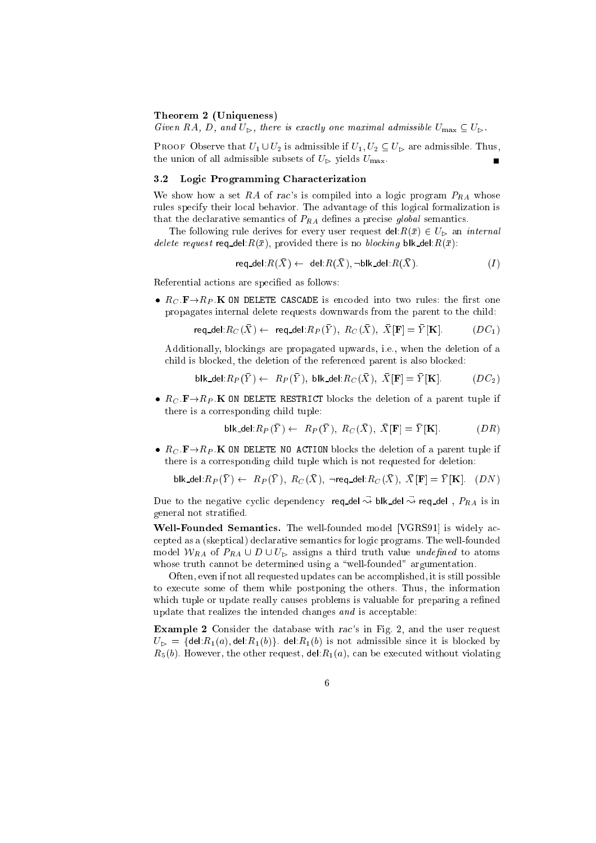#### Theorem 2 (Uniqueness)

Given RA, D, and  $U_{\triangleright}$ , there is exactly one maximal admissible  $U_{\text{max}} \subseteq U_{\triangleright}$ .

PROOF Observe that  $U_1 \cup U_2$  is admissible if  $U_1, U_2 \subseteq U_{\triangleright}$  are admissible. Thus, the union of all admissible subsets of  $U_{\triangleright}$  yields  $U_{\text{max}}$ .

#### 3.2 Logic Programming Characterization

We show how a set RA of rac's is compiled into a logic program  $P_{RA}$  whose rules specify their local behavior. The advantage of this logical formalization is that the declarative semantics of  $P_{RA}$  defines a precise global semantics.

The following rule derives for every user request del:  $R(\bar{x}) \in U_{\triangleright}$  an *internal* delete request req\_del: $R(\bar{x})$ , provided there is no blocking blk\_del: $R(\bar{x})$ :

$$
req\_del: R(\bar{X}) \leftarrow del: R(\bar{X}), \neg blk\_del: R(\bar{X}).
$$
\n
$$
(I)
$$

Referential actions are specied as follows:

•  $R_C$   $\mathbf{F} \rightarrow R_P$  K ON DELETE CASCADE is encoded into two rules: the first one propagates internal delete requests downwards from the parent to the child:

$$
\mathsf{req\_del}.R_C(\bar{X}) \leftarrow \text{ req\_del}.R_P(\bar{Y}), \ R_C(\bar{X}), \ \bar{X}[\mathbf{F}] = \bar{Y}[\mathbf{K}]. \qquad \qquad (DC_1)
$$

Additionally, blockings are propagated upwards, i.e., when the deletion of a child is blocked, the deletion of the referenced parent is also blocked:

blk del 
$$
R_P(Y) \leftarrow R_P(Y)
$$
, blk-del  $R_C(X)$ ,  $X[\mathbf{F}] = Y[\mathbf{K}]$ .  $(DC_2)$ 

•  $R_C$ :  $\mathbf{F} \rightarrow R_P$ : K ON DELETE RESTRICT blocks the deletion of a parent tuple if there is a corresponding child tuple:

$$
\mathsf{blk\_del}.R_P(\bar{Y}) \leftarrow R_P(\bar{Y}), \ R_C(\bar{X}), \ \bar{X}[\mathbf{F}] = \bar{Y}[\mathbf{K}]. \tag{DR}
$$

•  $R_C$ :  $\mathbf{F} \rightarrow R_P$ : K ON DELETE NO ACTION blocks the deletion of a parent tuple if there is a corresponding child tuple which is not requested for deletion:

blk-del: 
$$
R_P(\bar{Y}) \leftarrow R_P(\bar{Y}), R_C(\bar{X}), \neg \text{req-del}: R_C(\bar{X}), \bar{X}[\mathbf{F}] = \bar{Y}[\mathbf{K}].
$$
 (DN)

Due to the negative cyclic dependency req\_del  $\rightsquigarrow$  blk\_del  $\rightsquigarrow$  req\_del ,  $P_{RA}$  is in general not stratied.

Well-Founded Semantics. The well-founded model [VGRS91] is widely accepted as a (skeptical) declarative semantics for logic programs. The well-founded model  $W_{RA}$  of  $P_{RA} \cup D \cup U_{\triangleright}$  assigns a third truth value undefined to atoms whose truth cannot be determined using a "well-founded" argumentation.

Often, even if not all requested updates can be accomplished, it is still possible to execute some of them while postponing the others. Thus, the information which tuple or update really causes problems is valuable for preparing a refined update that realizes the intended changes and is acceptable:

Example 2 Consider the database with rac's in Fig. 2, and the user request  $U_{\triangleright} = \{ \text{del}: R_1(a), \text{del}: R_1(b) \}$ . del: $R_1(b)$  is not admissible since it is blocked by  $R_5(b)$ . However, the other request, del: $R_1(a)$ , can be executed without violating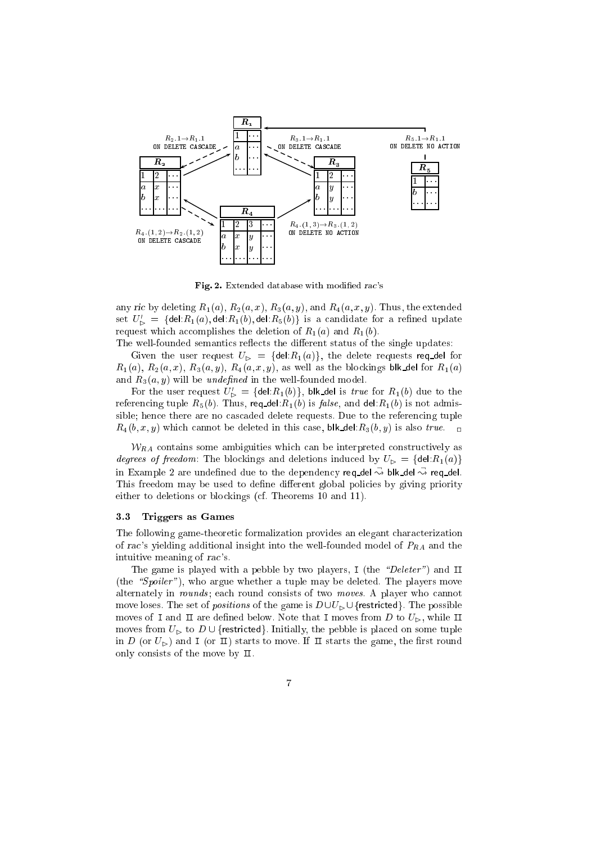

Fig. 2. Extended database with modified rac's

any ric by deleting  $R_1(a)$ ,  $R_2(a, x)$ ,  $R_3(a, y)$ , and  $R_4(a, x, y)$ . Thus, the extended set  $U'_{\mathcal{D}} = {\mathcal{A}}$ del: $R_1(a)$ , del: $R_1(b)$ , del: $R_5(b)$ } is a candidate for a refined update request which accomplishes the deletion of  $R_1(a)$  and  $R_1(b)$ .

The well-founded semantics reflects the different status of the single updates:

Given the user request  $U_{\triangleright} = \{ \text{del}: R_1(a) \}$ , the delete requests req-del for  $R_1(a)$ ,  $R_2(a,x)$ ,  $R_3(a,y)$ ,  $R_4(a,x,y)$ , as well as the blockings blk del for  $R_1(a)$ and  $R_3(a, y)$  will be *undefined* in the well-founded model.

For the user request  $U'_{\rhd} = \{ \text{del}.R_1(b) \}, \text{blk\_del}$  is true for  $R_1(b)$  due to the referencing tuple  $R_5(b)$ . Thus, req\_del: $R_1(b)$  is false, and del: $R_1(b)$  is not admissible; hence there are no cascaded delete requests. Due to the referencing tuple  $R_4(b, x, y)$  which cannot be deleted in this case, blk\_del: $R_3(b, y)$  is also true.  $\Box$ 

 $W_{RA}$  contains some ambiguities which can be interpreted constructively as degrees of freedom: The blockings and deletions induced by  $U_{\triangleright} = \{ \text{del}: R_1(a) \}$ in Example 2 are undefined due to the dependency req\_del $\rightsquigarrow$  blk\_del  $\rightsquigarrow$  req\_del. This freedom may be used to define different global policies by giving priority either to deletions or blockings (cf. Theorems 10 and 11).

### 3.3 Triggers as Games

The following game-theoretic formalization provides an elegant characterization of rac's yielding additional insight into the well-founded model of  $P_{RA}$  and the intuitive meaning of rac's.

The game is played with a pebble by two players, I (the "Deleter") and II (the "Spoiler"), who argue whether a tuple may be deleted. The players move alternately in *rounds*; each round consists of two *moves*. A player who cannot move loses. The set of *positions* of the game is  $D\cup U_{\triangleright} \cup \{$  restricted. The possible moves of I and  $\pi$  are defined below. Note that I moves from D to  $U_{\triangleright}$ , while II moves from  $U_{\triangleright}$  to  $D \cup \{$ restricted}. Initially, the pebble is placed on some tuple in D (or  $U_{\triangleright}$ ) and I (or II) starts to move. If II starts the game, the first round only consists of the move by II.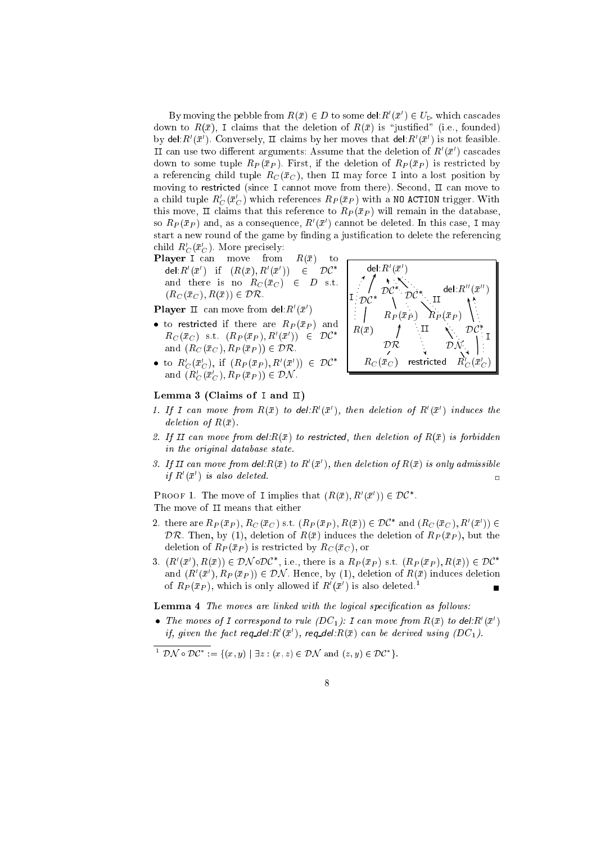By moving the pebble from  $R(\bar{x}) \in D$  to some del:  $R'(\bar{x}') \in U_{\triangleright}$  which cascades down to  $R(\bar{x})$ , I claims that the deletion of  $R(\bar{x})$  is "justified" (i.e., founded) by del:  $R'(\bar{x}')$ . Conversely, II claims by her moves that del:  $R'(\bar{x}')$  is not feasible. II can use two different arguments: Assume that the deletion of  $R'(\bar{x}')$  cascades down to some tuple  $R_P(\bar{x}_P)$ . First, if the deletion of  $R_P(\bar{x}_P)$  is restricted by a referencing child tuple  $R_C(\bar{x}_C)$ , then II may force I into a lost position by moving to restricted (since I cannot move from there). Second, II can move to a child tuple  $R_C^{\prime}(\bar{x}_C^{\prime})$  which references  $R_P(\bar{x}_P)$  with a <code>NO ACTION</code> trigger. With this move, II claims that this reference to  $R_P(\bar{x}_P)$  will remain in the database, so  $R_P(\bar{x}_P)$  and, as a consequence,  $R'(\bar{x}')$  cannot be deleted. In this case, I may start a new round of the game by finding a justification to delete the referencing child  $R_C^{\prime}(\bar{x}_C^{\prime})$ . More precisely:

**Player I** can move from  $R(\bar{x})$  to  $\mathsf{del}\: R'(\bar{x}') \quad \text{if} \quad (R(\bar{x}), R'(\bar{x}')) \quad \in \quad \mathcal{DC}^*$ and there is no  $R_C(\bar{x}_C) \in D$  s.t.  $(R_C(\bar{x}_C), R(\bar{x})) \in \mathcal{DR}.$ 

**Player** II can move from del: $R'(\bar{x}')$ 

- to restricted if there are  $R_P(\bar x_P)$  and  $R_C(\bar x_C)$  s.t.  $(R_P(\bar x_P), R'(\bar x'))$   $\;\in\;\; {\mathcal D} {\mathcal C}^*$ and  $(R_C(\bar{x}_C), R_P(\bar{x}_P)) \in \mathcal{DR}$ .
- to  $R'_C(\bar{x}'_C)$ , if  $(R_P(\bar{x}_P), R'(\bar{x}')) \in \mathcal{DC}^*$ and  $(R'_{C}(\bar{x}'_{C}), R_{P}(\bar{x}_{P})) \in \mathcal{D}\mathcal{N}$ .



#### Lemma 3 (Claims of I and  $\text{II}$ )

- 1. If I can move from  $R(\bar{x})$  to del:  $R'(\bar{x}')$ , then deletion of  $R'(\bar{x}')$  induces the deletion of  $R(\bar{x})$ .
- 2. If II can move from del: $R(\bar{x})$  to restricted, then deletion of  $R(\bar{x})$  is forbidden in the original database state.
- 3. If II can move from  $\det R(\bar{x})$  to  $R'(\bar{x}')$ , then deletion of  $R(\bar{x})$  is only admissible if  $R'(\bar{x}')$  is also deleted.  $\mathsf{C}$

**PROOF 1.** The move of I implies that  $(R(\bar{x}), R'(\bar{x})) \in \mathcal{DC}^*$ . The move of  $\,\overline{\mathbf{u}}\,$  means that either

- 2. there are  $R_P(\bar{x}_P)$ ,  $R_C(\bar{x}_C)$  s.t.  $(R_P(\bar{x}_P), R(\bar{x})) \in \mathcal{DC}^*$  and  $(R_C(\bar{x}_C), R'(\bar{x}')) \in$  $\mathcal{DR}$ . Then, by (1), deletion of  $R(\bar{x})$  induces the deletion of  $R_P(\bar{x}_P)$ , but the deletion of  $R_P(\bar{x}_P)$  is restricted by  $R_C(\bar{x}_C)$ , or
- 3.  $(R'(\bar{x}'), R(\bar{x})) \in \mathcal{DN}\circ\mathcal{DC}^*$ , i.e., there is a  $R_P(\bar{x}_P)$  s.t.  $(R_P(\bar{x}_P), R(\bar{x})) \in \mathcal{DC}^*$ and  $(R'(\bar{x}'), R_P(\bar{x}_P)) \in \mathcal{DN}$ . Hence, by (1), deletion of  $R(\bar{x})$  induces deletion of  $R_P(\bar{x}_P)$ , which is only allowed if  $R'(\bar{x}')$  is also deleted.<sup>1</sup>

**Lemma 4** The moves are linked with the logical specification as follows:

• The moves of I correspond to rule  $(DC_1)$ : I can move from  $R(\bar{x})$  to del:  $R'(\bar{x}')$ if, given the fact req\_del: $R'(\bar{x}')$ , req\_del: $R(\bar{x})$  can be derived using  $(DC_1)$ .

 $\mathcal{D} \mathcal{N} \circ \mathcal{D} \mathcal{C}^* := \{ (x, y) \mid \exists z : (x, z) \in \mathcal{D} \mathcal{N} \text{ and } (z, y) \in \mathcal{D} \mathcal{C}^* \}.$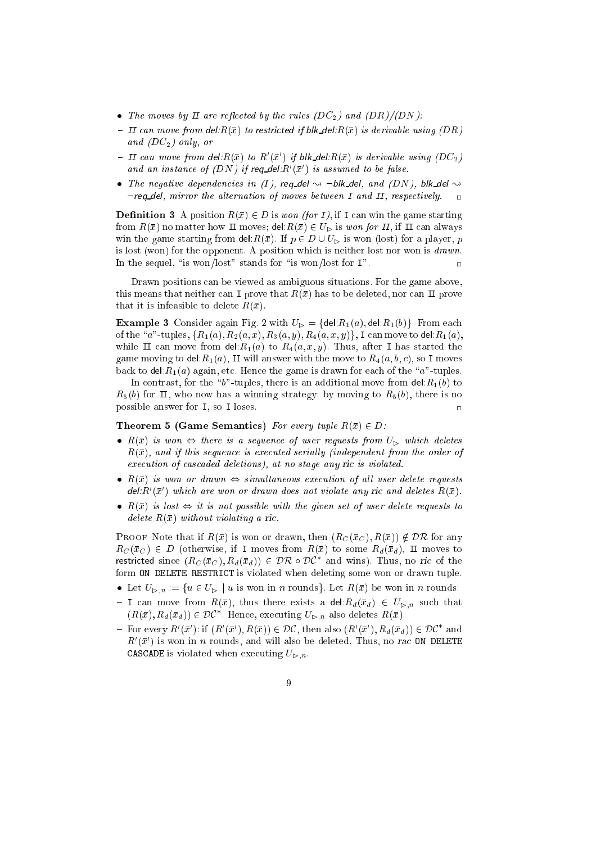- The moves by II are reflected by the rules (DC<sub>2</sub>) and (DR)/(DN):
- ${\cal I}$  = II can move from del: $R(\bar{x})$  to restricted if blk\_del: $R(\bar{x})$  is derivable using (DR) and  $(DC_2)$  only, or
- II can move from del: $R(\bar{x})$  to  $R'(\bar{x}')$  if blk\_del: $R(\bar{x})$  is derivable using  $(DC_2)$ and an instance of  $(DN)$  if reg-del:  $R'(\bar{x}')$  is assumed to be false.
- The negative dependencies in (I), reg\_del  $\rightsquigarrow \neg \text{blk\_del},$  and (DN), blk\_del  $\rightsquigarrow$  $\neg$ req\_del, mirror the alternation of moves between I and  $\pi$ , respectively.

**Definition 3** A position  $R(\bar{x}) \in D$  is won (for I), if I can win the game starting from  $R(\bar{x})$  no matter how II moves; del: $R(\bar{x}) \in U_{\geq}$  is won for II, if II can always win the game starting from del:  $R(\bar{x})$ . If  $p \in D \cup U_{\nu}$  is won (lost) for a player, p is lost (won) for the opponent. A position which is neither lost nor won is drawn. In the sequel, "is won/lost" stands for "is won/lost for  $I$ ".

Drawn positions can be viewed as ambiguous situations. For the game above, this means that neither can I prove that  $R(\bar{x})$  has to be deleted, nor can II prove that it is infeasible to delete  $R(\bar{x})$ .

**Example 3** Consider again Fig. 2 with  $U_{\triangleright} = \{ \text{del}: R_1(a), \text{del}: R_1(b) \}$ . From each of the "a"-tuples,  $\{R_1(a), R_2(a, x), R_3(a, y), R_4(a, x, y)\}\$ , I can move to del:  $R_1(a)$ , while II can move from del:  $R_1(a)$  to  $R_4(a, x, y)$ . Thus, after I has started the game moving to del: $R_1(a)$ , II will answer with the move to  $R_4(a, b, c)$ , so I moves back to del:  $R_1(a)$  again, etc. Hence the game is drawn for each of the "a"-tuples.

In contrast, for the "b"-tuples, there is an additional move from del: $R_1(b)$  to  $R_5(b)$  for II, who now has a winning strategy: by moving to  $R_5(b)$ , there is no possible answer for I, so I loses.  $\overline{a}$ 

#### **Theorem 5 (Game Semantics)** For every tuple  $R(\bar{x}) \in D$ :

- $R(\bar{x})$  is won  $\Leftrightarrow$  there is a sequence of user requests from  $U_{\triangleright}$  which deletes  $R(\bar{x})$ , and if this sequence is executed serially (independent from the order of execution of cascaded deletions), at no stage any ric is violated.
- $R(\bar{x})$  is won or drawn  $\Leftrightarrow$  simultaneous execution of all user delete requests  $del: R'(\bar{x}')$  which are won or drawn does not violate any ric and deletes  $R(\bar{x})$ .
- $R(\bar{x})$  is lost  $\Leftrightarrow$  it is not possible with the given set of user delete requests to delete  $R(\bar{x})$  without violating a ric.

**PROOF** Note that if  $R(\bar{x})$  is won or drawn, then  $(R_C(\bar{x}_C), R(\bar{x})) \notin \mathcal{DR}$  for any  $R_C(\bar{x}_C) \in D$  (otherwise, if I moves from  $R(\bar{x})$  to some  $R_d(\bar{x}_d)$ , II moves to restricted since  $(R_C(\bar{x}_C), R_d(\bar{x}_d)) \in \mathcal{DR} \circ \mathcal{DC}^*$  and wins). Thus, no ric of the form ON DELETE RESTRICT is violated when deleting some won or drawn tuple.

- Let  $U_{\triangleright,n} := \{u \in U_{\triangleright} \mid u \text{ is won in } n \text{ rounds}\}.$  Let  $R(\bar{x})$  be won in n rounds:
- ${\bf I}$  can move from  $R(\bar{x})$ , thus there exists a del: $R_d(\bar{x}_d) \in U_{\triangleright,n}$  such that  $(R(\bar{x}), R_d(\bar{x}_d)) \in \mathcal{DC}^*$ . Hence, executing  $U_{\triangleright,n}$  also deletes  $R(\bar{x})$ .
- For every  $R'(\bar{x}')$ : if  $(R'(\bar{x}'), R(\bar{x})) \in \mathcal{DC}$ , then also  $(R'(\bar{x}'), R_d(\bar{x}_d)) \in \mathcal{DC}^*$  and  $R'(\bar{x}')$  is won in n rounds, and will also be deleted. Thus, no rac ON DELETE **CASCADE** is violated when executing  $U_{\ge n}$ .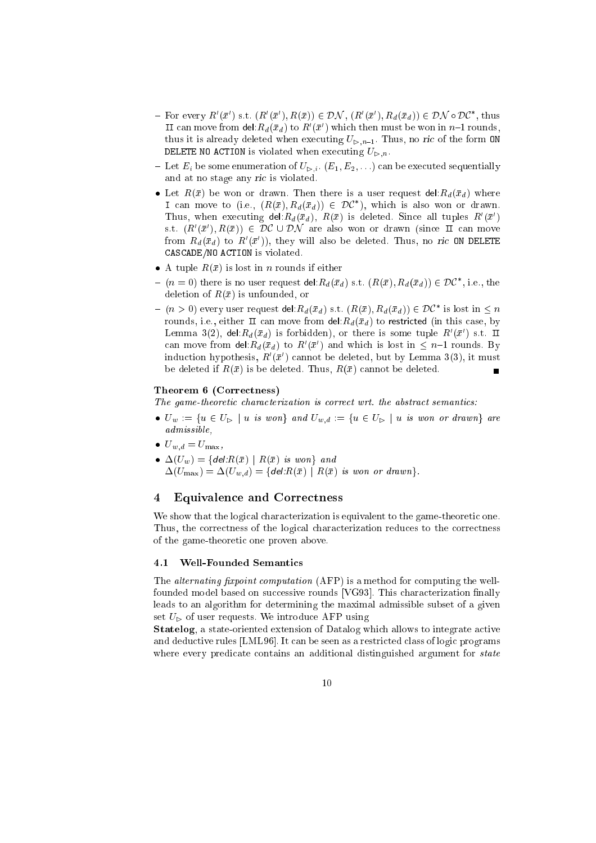- For every  $R'(\bar{x}')$  s.t.  $(R'(\bar{x}'), R(\bar{x})) \in \mathcal{DN}$ ,  $(R'(\bar{x}'), R_d(\bar{x}_d)) \in \mathcal{DN} \circ \mathcal{DC}^*$ , thus II can move from del: $R_d(\bar{x}_d)$  to  $R'(\bar{x}')$  which then must be won in  $n-1$  rounds, thus it is already deleted when executing  $U_{\triangleright,n-1}$ . Thus, no ric of the form ON DELETE NO ACTION is violated when executing  $U_{\triangleright,n}$ .
- Let  $E_i$  be some enumeration of  $U_{\triangleright,i}$ .  $(E_1, E_2, \ldots)$  can be executed sequentially and at no stage any ric is violated.
- Let  $R(\bar{x})$  be won or drawn. Then there is a user request del:  $R_d(\bar{x}_d)$  where I can move to (i.e.,  $(R(\bar{x}), R_d(\bar{x}_d)) \in \mathcal{DC}^*$ ), which is also won or drawn. Thus, when executing del: $R_d(\bar{x}_d)$ ,  $R(\bar{x})$  is deleted. Since all tuples  $R'(\bar{x}')$ s.t.  $(R'(\bar{x}'), R(\bar{x})) \in \mathcal{DC} \cup \mathcal{DN}$  are also won or drawn (since  $\pi$  can move from  $R_d(\bar{x}_d)$  to  $R'(\bar{x}')$ , they will also be deleted. Thus, no ric ON DELETE CASCADE/NO ACTION is violated.
- A tuple  $R(\bar{x})$  is lost in *n* rounds if either
- ${ (n = 0) }$  there is no user request del: $R_d(\bar{x}_d)$  s.t.  $(R(\bar{x}), R_d(\bar{x}_d)) \in \mathcal{DC}^*$ , i.e., the deletion of  $R(\bar{x})$  is unfounded, or
- ${ (n > 0) }$  every user request del: $R_d(\bar{x}_d)$  s.t.  $(R(\bar{x}), R_d(\bar{x}_d)) \in \mathcal{DC}^*$  is lost in  $\leq n$ rounds, i.e., either  $\pi$  can move from del:  $R_d(\bar{x}_d)$  to restricted (in this case, by Lemma 3(2), del: $R_d(\bar{x}_d)$  is forbidden), or there is some tuple  $R'(\bar{x}')$  s.t.  $\Pi$ can move from del: $R_d(\bar{x}_d)$  to  $R'(\bar{x}')$  and which is lost in  $\leq n-1$  rounds. By induction hypothesis,  $R'(\bar{x}')$  cannot be deleted, but by Lemma 3(3), it must be deleted if  $R(\bar{x})$  is be deleted. Thus,  $R(\bar{x})$  cannot be deleted.

#### Theorem 6 (Correctness)

The game-theoretic characterization is correct wrt. the abstract semantics:

- $\bullet$   $U_w := \{u \in U_{\triangleright} \mid u \text{ is won} \}$  and  $U_{w,d} := \{u \in U_{\triangleright} \mid u \text{ is won or drawn} \}$  are admissible,
- $U_{w,d} = U_{\text{max}},$
- $\Delta(U_w) = \{delR(\bar{x}) \mid R(\bar{x}) \text{ is won} \}$  and  $\Delta(U_{\text{max}}) = \Delta(U_{w,d}) = \{ \text{del:} R(\bar{x}) \mid R(\bar{x}) \text{ is won or drawn} \}.$

# 4 Equivalence and Correctness

We show that the logical characterization is equivalent to the game-theoretic one. Thus, the correctness of the logical characterization reduces to the correctness of the game-theoretic one proven above.

# 4.1 Well-Founded Semantics

The *alternating fixpoint computation* (AFP) is a method for computing the wellfounded model based on successive rounds [VG93]. This characterization finally leads to an algorithm for determining the maximal admissible subset of a given set  $U_{\triangleright}$  of user requests. We introduce AFP using

Statelog, a state-oriented extension of Datalog which allows to integrate active and deductive rules [LML96]. It can be seen as a restricted class of logic programs where every predicate contains an additional distinguished argument for *state*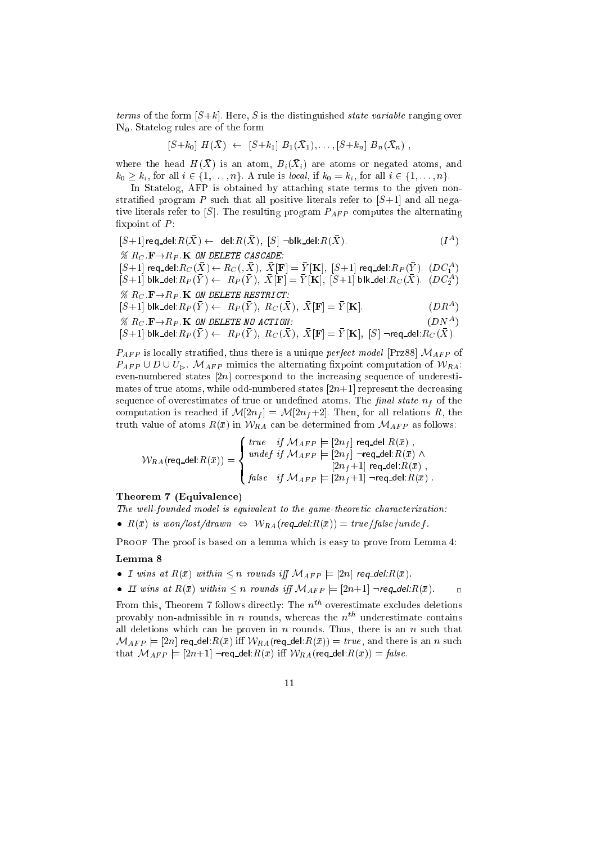terms of the form  $[S+k]$ . Here, S is the distinguished *state variable* ranging over  $\mathbb{N}_0$ . Statelog rules are of the form

$$
[S+k_0] H(\bar{X}) \leftarrow [S+k_1] B_1(\bar{X}_1), \ldots, [S+k_n] B_n(\bar{X}_n) ,
$$

where the head  $H(X)$  is an atom,  $B_i(X_i)$  are atoms or negated atoms, and  $k_0 \geq k_i$ , for all  $i \in \{1, \ldots, n\}$ . A rule is local, if  $k_0 = k_i$ , for all  $i \in \{1, \ldots, n\}$ .

In Statelog, AFP is obtained by attaching state terms to the given nonstratified program P such that all positive literals refer to  $[S+1]$  and all negative literals refer to  $[S]$ . The resulting program  $P_{AFP}$  computes the alternating fixpoint of  $P$ :

$$
[S+1] \text{ req-del: } R(\bar{X}) \leftarrow \text{ del: } R(\bar{X}), [S] \neg \text{blk-del: } R(\bar{X}). \tag{IA}
$$

 $\%$  R<sub>C</sub>:  $\mathbf{F} \rightarrow R_P$ . K ON DELETE CASCADE:

 $[S+1]$  req\_del:  $R_C(\bar{X}) \leftarrow R_C($ ,  $\bar{X}$ ),  $\bar{X}[\mathbf{F}] = \bar{Y}[\mathbf{K}]$ ,  $[S+1]$  req\_del:  $R_P(\bar{Y})$ .  $(DC_1^A)$  $[S+1]$  blk\_del: $R_P(\bar{Y}) \leftarrow R_P(\bar{Y}), \ \bar{X}[\mathbf{F}] = \bar{Y}[\mathbf{K}], \ [S+1]$  blk\_del: $R_C(\bar{X})$ .  $(DC_2^A)$  $\%$  R<sub>C</sub>:  $\mathbf{F} \rightarrow R_P$  **K** ON DELETE RESTRICT:

$$
[S+1] \text{ blk\_del}: R_P(\bar{Y}) \leftarrow R_P(\bar{Y}), R_C(\bar{X}), \ \bar{X}[\mathbf{F}] = \bar{Y}[\mathbf{K}]. \tag{DRA}
$$

 $(DN^A)$ 

$$
\% R_C \cdot \mathbf{F} \to R_P \cdot \mathbf{K} \text{ on } D \text{ELETE} \text{ no } A \text{CTION:}
$$
 (DN<sup>A</sup>)

$$
[S+1] \text{ blk\_del}: R_P(\bar{Y}) \leftarrow R_P(\bar{Y}), R_C(\bar{X}), \ \bar{X}[\mathbf{F}] = \bar{Y}[\mathbf{K}], \ [S] \neg \mathsf{req\_del}: R_C(\bar{X}).
$$

 $P_{AFP}$  is locally stratified, thus there is a unique *perfect model* [Prz88]  $M_{AFP}$  of  $P_{AFP} \cup D \cup U_{\triangleright}$ .  $\mathcal{M}_{AFP}$  mimics the alternating fixpoint computation of  $\mathcal{W}_{RA}$ : even-numbered states  $[2n]$  correspond to the increasing sequence of underestimates of true atoms, while odd-numbered states  $[2n+1]$  represent the decreasing sequence of overestimates of true or undefined atoms. The final state  $n_f$  of the computation is reached if  $\mathcal{M}[2n_f] = \mathcal{M}[2n_f+2]$ . Then, for all relations R, the truth value of atoms  $R(\bar{x})$  in  $W_{RA}$  can be determined from  $\mathcal{M}_{AFP}$  as follows:

$$
\mathcal{W}_{RA}(\mathsf{req\_del}:R(\bar{x})) = \left\{ \begin{array}{ll} \mathit{true} & \mathit{if} \ \mathcal{M}_{AFP} \models [2n_f] \ \mathsf{req\_del}:R(\bar{x}) \ , \\ \mathit{under\ if} \ \mathcal{M}_{AFP} \models [2n_f] \ \neg \mathsf{req\_del}:R(\bar{x}) \ \wedge \\ \ [2n_f+1] \ \mathsf{req\_del}:R(\bar{x}) \ , \\ \mathit{false} & \mathit{if} \ \mathcal{M}_{AFP} \models [2n_f+1] \ \neg \mathsf{req\_del}:R(\bar{x}) \ . \end{array} \right.
$$

#### Theorem 7 (Equivalence)

The well-founded model is equivalent to the game-theoretic characterization: •  $R(\bar{x})$  is won/lost/drawn  $\Leftrightarrow$   $W_{RA}(req\_del:R(\bar{x})) = true/false/undef$ .

PROOF The proof is based on a lemma which is easy to prove from Lemma 4:

### Lemma 8

- I wins at  $R(\bar{x})$  within  $\leq n$  rounds iff  $\mathcal{M}_{AFP} \models [2n]$  req\_del: $R(\bar{x})$ .
- II wins at  $R(\bar{x})$  within  $\leq n$  rounds iff  $\mathcal{M}_{AFP} \models [2n+1] \neg \text{req\_del}:R(\bar{x})$ .

From this, Theorem 7 follows directly: The  $n^{th}$  overestimate excludes deletions provably non-admissible in n rounds, whereas the  $n^{th}$  underestimate contains all deletions which can be proven in  $n$  rounds. Thus, there is an  $n$  such that  $\mathcal{M}_{AFP} \models [2n]$  req\_del: $R(\bar{x})$  iff  $\mathcal{W}_{RA}$ (req\_del: $R(\bar{x})$ ) = true, and there is an n such that  $M_{AFP} \models [2n+1]$  -req\_del: $R(\bar{x})$  iff  $W_{RA}$ (req\_del: $R(\bar{x})$ ) = false.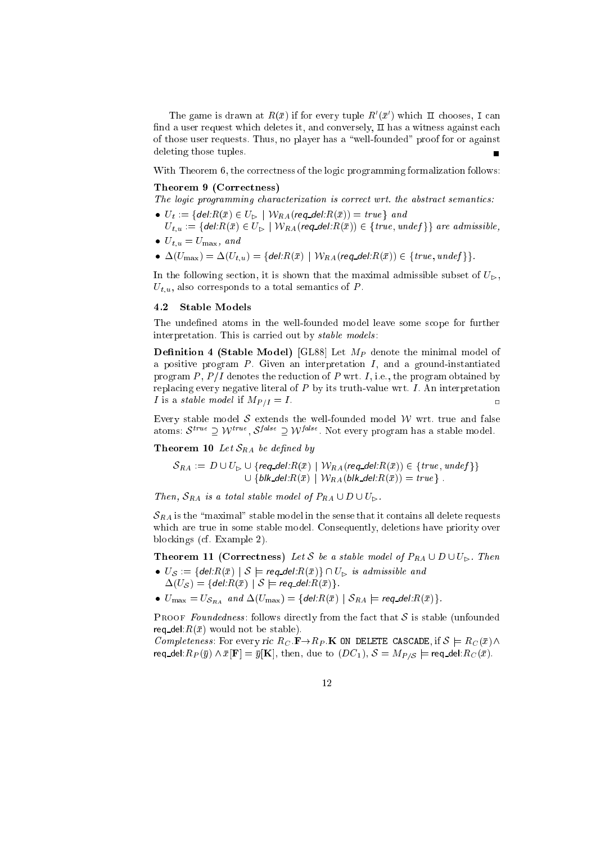The game is drawn at  $R(\bar{x})$  if for every tuple  $R'(\bar{x}')$  which  $\bar{\Pi}$  chooses, I can find a user request which deletes it, and conversely,  $\Pi$  has a witness against each of those user requests. Thus, no player has a \well-founded" proof for or against deleting those tuples.

With Theorem 6, the correctness of the logic programming formalization follows:

#### Theorem 9 (Correctness)

The logic programming characterization is correct wrt. the abstract semantics:

- $U_t := \{ del \, R(\bar{x}) \in U_{\triangleright} \mid \mathcal{W}_{RA}(req\_del \, R(\bar{x})) = true \}$  and
- $U_{t,u} := \{ \text{del}: R(\bar{x}) \in U_{\triangleright} \mid \mathcal{W}_{RA}(\text{req\_del}: R(\bar{x})) \in \{ \text{true}, \text{under} \} \}$  are admissible,  $\bullet$   $U_{t,u} = U_{\text{max}}$ , and
- $\bullet \Delta(U_{\max}) = \Delta(U_{t,u}) = \{$  del: $R(\bar{x}) \mid \mathcal{W}_{RA}$  (req\_del: $R(\bar{x})$ )  $\in \{true, \textit{under}\} \}$ .

In the following section, it is shown that the maximal admissible subset of  $U_{\triangleright}$ ,  $U_{t,u}$ , also corresponds to a total semantics of P.

#### $4.2$ Stable Models

The undefined atoms in the well-founded model leave some scope for further interpretation. This is carried out by *stable models*:

**Definition 4 (Stable Model)** [GL88] Let  $M_P$  denote the minimal model of a positive program  $P$ . Given an interpretation  $I$ , and a ground-instantiated program P,  $P/I$  denotes the reduction of P wrt. I, i.e., the program obtained by replacing every negative literal of  $P$  by its truth-value wrt.  $I$ . An interpretation I is a *stable model* if  $M_{P/I} = I$ .

Every stable model  $S$  extends the well-founded model  $W$  wrt. true and false atoms:  $S_{\text{max}} \supseteq VV_{\text{max}} \supseteq VV_{\text{max}}$  inot every program has a stable model.

**Theorem 10** Let  $S_{RA}$  be defined by

$$
\mathcal{S}_{RA} := D \cup U_{\triangleright} \cup \{ \text{req\_del}: R(\bar{x}) \mid \mathcal{W}_{RA}(\text{req\_del}: R(\bar{x})) \in \{ \text{true}, \text{under} \} \}
$$
  

$$
\cup \{ \text{blk\_del}: R(\bar{x}) \mid \mathcal{W}_{RA}(\text{blk\_del}: R(\bar{x})) = \text{true} \}.
$$

Then,  $S_{RA}$  is a total stable model of  $P_{RA} \cup D \cup U_{\triangleright}$ .

 $\mathcal{S}_{RA}$  is the "maximal" stable model in the sense that it contains all delete requests which are true in some stable model. Consequently, deletions have priority over blockings (cf. Example 2).

**Theorem 11 (Correctness)** Let S be a stable model of  $P_{RA} \cup D \cup U_{\triangleright}$ . Then

- $U_{\mathcal{S}} := \{ del: R(\bar{x}) \mid \mathcal{S} \models \text{req\_del}: R(\bar{x}) \} \cap U_{\triangleright}$  is admissible and  $\Delta(U_{\mathcal{S}}) = \{ \mathit{del} \cdot R(\bar{x}) \mid \mathcal{S} \models \mathit{req\_del} \cdot R(\bar{x}) \}.$
- $\bullet$   $U_{\text{max}} = U_{\mathcal{S}_{RA}}$  and  $\Delta(U_{\text{max}}) = \{$  del: $R(\bar{x}) \mid \mathcal{S}_{RA} \models$  req\_del: $R(\bar{x})\}$ .

PROOF Foundedness: follows directly from the fact that  $S$  is stable (unfounded req\_del: $R(\bar{x})$  would not be stable).

Completeness: For every ric  $R_C \cdot \mathbf{F} \to R_P \cdot \mathbf{K}$  ON DELETE CASCADE, if  $S \models R_C(\bar{x}) \land$ req\_del: $R_P(\bar{y}) \wedge \bar{x}[\mathbf{F}] = \bar{y}[\mathbf{K}]$ , then, due to  $(DC_1)$ ,  $S = M_{P/S}$   $\models$  req\_del: $R_C(\bar{x})$ .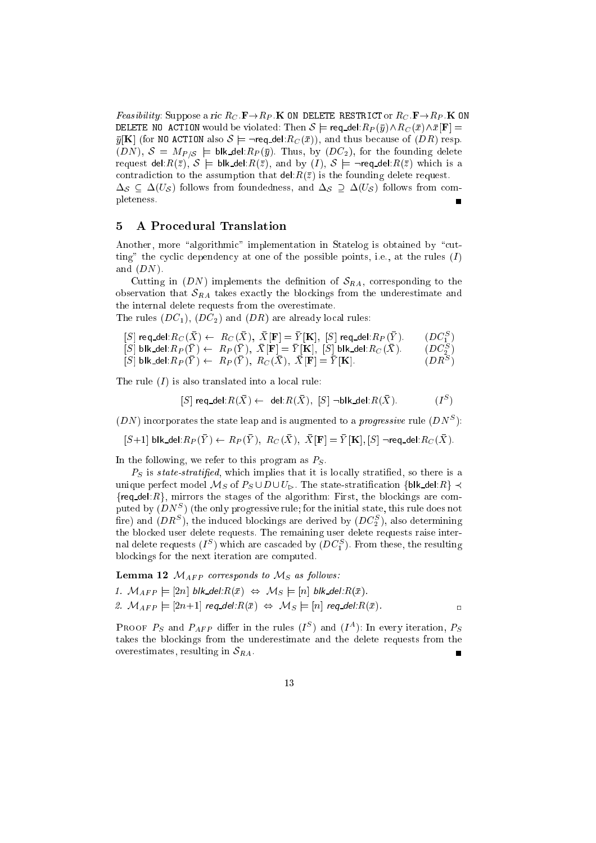*Feasibility:* Suppose a ric  $R_C \cdot \mathbf{F} \rightarrow R_P \cdot \mathbf{K}$  ON DELETE RESTRICT or  $R_C \cdot \mathbf{F} \rightarrow R_P \cdot \mathbf{K}$  ON DELETE NO ACTION would be violated: Then  $S \models \text{req\_del}:R_P(\bar{y}) \wedge R_C (\bar{x}) \wedge \bar{x}[F] =$  $\bar{y}[K]$  (for NO ACTION also  $S \models \neg \text{req\_del}: R_C(\bar{x})$ ), and thus because of  $(DR)$  resp.  $(DN)$ ,  $S = M_{P/S}$   $\models$  blk del: $R_P(\bar{y})$ . Thus, by  $(DC_2)$ , for the founding delete request del: $R(\bar{z})$ ,  $S \models$  blk del: $R(\bar{z})$ , and by  $(I)$ ,  $S \models \neg$ req del: $R(\bar{z})$  which is a contradiction to the assumption that  $\text{del}:R(\bar{z})$  is the founding delete request.  $\Delta_{\mathcal{S}} \subseteq \Delta(U_{\mathcal{S}})$  follows from foundedness, and  $\Delta_{\mathcal{S}} \supseteq \Delta(U_{\mathcal{S}})$  follows from completeness. г

# 5 A Procedural Translation

Another, more "algorithmic" implementation in Statelog is obtained by "cutting" the cyclic dependency at one of the possible points, i.e., at the rules  $(I)$ and  $(DN)$ .

Cutting in  $(DN)$  implements the definition of  $S_{RA}$ , corresponding to the observation that  $S_{RA}$  takes exactly the blockings from the underestimate and the internal delete requests from the overestimate.

The rules  $(DC_1)$ ,  $(DC_2)$  and  $(DR)$  are already local rules:

- $[S]$  req\_del:  $R_C(\bar{X}) \leftarrow R_C(\bar{X}), \ \bar{X}[\mathbf{F}] = \bar{Y}[\mathbf{K}], \ [S]$  req\_del:  $R_P(\bar{Y})$ . (DC $_1^S$  $\blacksquare$
- $[S]$  blk\_del: $R_P(\bar{Y}) \leftarrow R_P(\bar{Y}), \ \bar{X}[\mathbf{F}] = \bar{Y}[\mathbf{K}], \ [S]$  blk\_del: $R_C(\bar{X})$ . (DCS) <sup>2</sup> )
- $[S]$  blk del: $R_P(\bar{Y}) \leftarrow R_P(\bar{Y}),\ R_C(\bar{X}),\ \bar{X}[F] = \bar{Y}[\mathbf{K}].$ )

The rule  $(I)$  is also translated into a local rule:

 $[S]$  req\_del: $R(X) \leftarrow$  del: $R(X)$ ,  $[S]$   $\neg$ blk\_del: $R(X)$  $(I^S)$ 

 $(DN)$  incorporates the state leap and is augmented to a *progressive* rule  $(DN^S)$ :

 $[S+1]$  blk del: $R_P(\bar{Y}) \leftarrow R_P(\bar{Y}), R_C(\bar{X}), \bar{X}[\mathbf{F}] = \bar{Y}[\mathbf{K}], [S]$  -req del: $R_C(\bar{X})$ .

In the following, we refer to this program as  $P<sub>S</sub>$ .

 $P<sub>S</sub>$  is state-stratified, which implies that it is locally stratified, so there is a unique perfect model  $\mathcal{M}_S$  of  $P_S \cup D \cup U_{\triangleright}$ . The state-stratification {blk\_del: $R$ }  $\prec$  ${req\_del:R}$ , mirrors the stages of the algorithm: First, the blockings are computed by  $(DN^S)$  (the only progressive rule; for the initial state, this rule does not fire) and  $(DR^S),$  the induced blockings are derived by  $(DC_2^S),$  also determining the blocked user delete requests. The remaining user delete requests raise internal delete requests  $(I^S)$  which are cascaded by  $(DC_1^S)$ . From these, the resulting blockings for the next iteration are computed.

**Lemma 12**  $M_{AFP}$  corresponds to  $M_S$  as follows:

1.  $M_{AFP} \models [2n]$  blk\_del: $R(\bar{x}) \Leftrightarrow M_S \models [n]$  blk\_del: $R(\bar{x})$ . 2.  $M_{AFP} \models [2n+1]$  req\_del: $R(\bar{x}) \Leftrightarrow M_S \models [n]$  req\_del: $R(\bar{x})$ .

PROOF  $P_S$  and  $P_{AFP}$  differ in the rules  $(I^S)$  and  $(I^A)$ : In every iteration,  $P_S$ takes the blockings from the underestimate and the delete requests from the overestimates, resulting in  $S_{RA}$ . Ē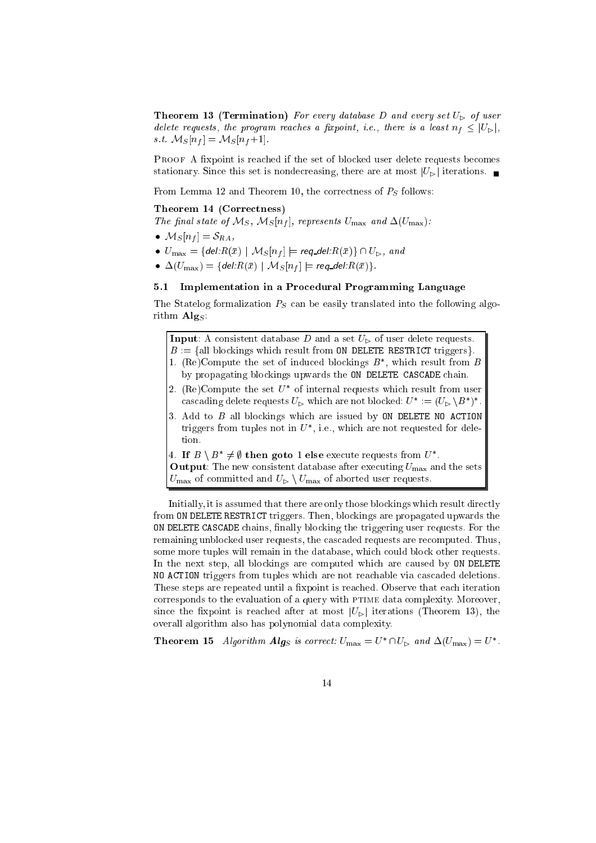**Theorem 13 (Termination)** For every database D and every set  $U_{\triangleright}$  of user delete requests, the program reaches a fixpoint, i.e., there is a least  $n_f \leq |U_{\triangleright}|$ , s.t.  $\mathcal{M}_S[n_f] = \mathcal{M}_S[n_f+1]$ .

PROOF A fixpoint is reached if the set of blocked user delete requests becomes stationary. Since this set is nondecreasing, there are at most  $|U_{\triangleright}|$  iterations.

From Lemma 12 and Theorem 10, the correctness of  $P_S$  follows:

### Theorem 14 (Correctness)

The final state of  $\mathcal{M}_S$ ,  $\mathcal{M}_S[n_f]$ , represents  $U_{\text{max}}$  and  $\Delta(U_{\text{max}})$ :

- $\bullet$   $\mathcal{M}_S[n_f] = \delta_{RA},$
- $\bullet$   $U_{\max} = \{$  del: $R(\bar{x}) \mid \mathcal{M}_S[n_f] \models$  req\_del: $R(\bar{x}) \} \cap U_{\rhd},$  and
- $\bullet \ \Delta(U_{\rm max}) = \{$  del: $R(\bar{x}) \mid \mathcal{M}_S[n_f] \models$  req\_del: $R(\bar{x})\}.$

# 5.1 Implementation in a Procedural Programming Language

The Statelog formalization  $P<sub>S</sub>$  can be easily translated into the following algorithm  $\mathbf{Alg}_S$ :

**Input:** A consistent database D and a set  $U_{\triangleright}$  of user delete requests.

- $B := \{$ all blockings which result from ON DELETE RESTRICT triggers.
- 1. (Re)Compute the set of induced blockings  $B^*$ , which result from B by propagating blockings upwards the ON DELETE CASCADE chain.
- 2. (Re)Compute the set  $U^*$  of internal requests which result from user cascading delete requests  $U_{\triangleright}$  which are not blocked:  $U^* := (U_{\triangleright} \setminus B^*)^*$ .
- 3. Add to  $B$  all blockings which are issued by  $ON$  DELETE NO ACTION triggers from tuples not in  $U^*$ , i.e., which are not requested for deletion.

4. If  $B \setminus B^* \neq \emptyset$  then goto 1 else execute requests from  $U^*$ . **Output:** The new consistent database after executing  $U_{\text{max}}$  and the sets  $U_{\text{max}}$  of committed and  $U_{\text{D}} \setminus U_{\text{max}}$  of aborted user requests.

Initially, it is assumed that there are only those blockings which result directly from ON DELETE RESTRICT triggers. Then, blockings are propagated upwards the ON DELETE CASCADE chains, nally blocking the triggering user requests. For the remaining unblocked user requests, the cascaded requests are recomputed. Thus, some more tuples will remain in the database, which could block other requests. In the next step, all blockings are computed which are caused by ON DELETE NO ACTION triggers from tuples which are not reachable via cascaded deletions. These steps are repeated until a fixpoint is reached. Observe that each iteration corresponds to the evaluation of a query with PTIME data complexity. Moreover, since the fixpoint is reached after at most  $|U_{\triangleright}|$  iterations (Theorem 13), the overall algorithm also has polynomial data complexity.

**Theorem 15** Algorithm Alg<sub>S</sub> is correct:  $U_{\text{max}} = U^* \cap U_{\text{P}}$  and  $\Delta(U_{\text{max}}) = U^*$ .